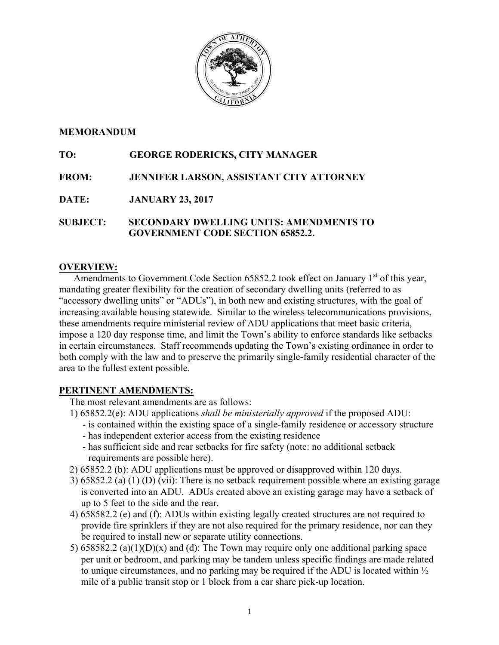

## **MEMORANDUM**

# **TO: GEORGE RODERICKS, CITY MANAGER**

**FROM: JENNIFER LARSON, ASSISTANT CITY ATTORNEY**

**DATE: JANUARY 23, 2017**

**SUBJECT: SECONDARY DWELLING UNITS: AMENDMENTS TO GOVERNMENT CODE SECTION 65852.2.**

## **OVERVIEW:**

Amendments to Government Code Section 65852.2 took effect on January  $1<sup>st</sup>$  of this year, mandating greater flexibility for the creation of secondary dwelling units (referred to as "accessory dwelling units" or "ADUs"), in both new and existing structures, with the goal of increasing available housing statewide. Similar to the wireless telecommunications provisions, these amendments require ministerial review of ADU applications that meet basic criteria, impose a 120 day response time, and limit the Town's ability to enforce standards like setbacks in certain circumstances. Staff recommends updating the Town's existing ordinance in order to both comply with the law and to preserve the primarily single-family residential character of the area to the fullest extent possible.

## **PERTINENT AMENDMENTS:**

The most relevant amendments are as follows:

- 1) 65852.2(e): ADU applications *shall be ministerially approved* if the proposed ADU:
	- is contained within the existing space of a single-family residence or accessory structure - has independent exterior access from the existing residence
	- has sufficient side and rear setbacks for fire safety (note: no additional setback requirements are possible here).
- 2) 65852.2 (b): ADU applications must be approved or disapproved within 120 days.
- 3) 65852.2 (a) (1) (D) (vii): There is no setback requirement possible where an existing garage is converted into an ADU. ADUs created above an existing garage may have a setback of up to 5 feet to the side and the rear.
- 4) 658582.2 (e) and (f): ADUs within existing legally created structures are not required to provide fire sprinklers if they are not also required for the primary residence, nor can they be required to install new or separate utility connections.
- 5) 658582.2 (a)(1)(D)(x) and (d): The Town may require only one additional parking space per unit or bedroom, and parking may be tandem unless specific findings are made related to unique circumstances, and no parking may be required if the ADU is located within ½ mile of a public transit stop or 1 block from a car share pick-up location.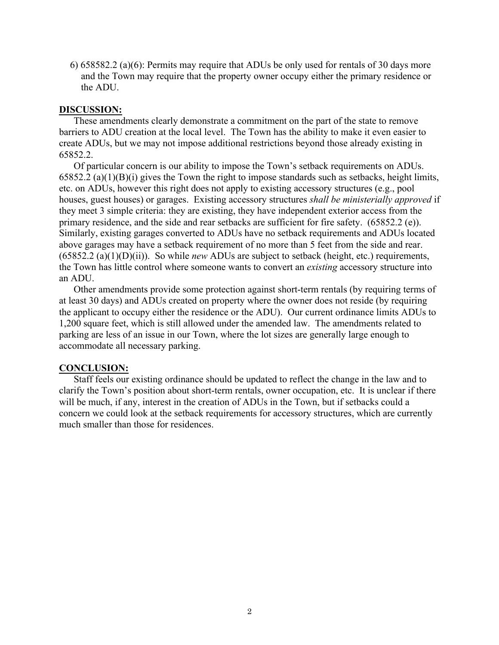6) 658582.2 (a)(6): Permits may require that ADUs be only used for rentals of 30 days more and the Town may require that the property owner occupy either the primary residence or the ADU.

### **DISCUSSION:**

These amendments clearly demonstrate a commitment on the part of the state to remove barriers to ADU creation at the local level. The Town has the ability to make it even easier to create ADUs, but we may not impose additional restrictions beyond those already existing in 65852.2.

Of particular concern is our ability to impose the Town's setback requirements on ADUs.  $65852.2$  (a)(1)(B)(i) gives the Town the right to impose standards such as setbacks, height limits, etc. on ADUs, however this right does not apply to existing accessory structures (e.g., pool houses, guest houses) or garages. Existing accessory structures *shall be ministerially approved* if they meet 3 simple criteria: they are existing, they have independent exterior access from the primary residence, and the side and rear setbacks are sufficient for fire safety. (65852.2 (e)). Similarly, existing garages converted to ADUs have no setback requirements and ADUs located above garages may have a setback requirement of no more than 5 feet from the side and rear. (65852.2 (a)(1)(D)(ii)). So while *new* ADUs are subject to setback (height, etc.) requirements, the Town has little control where someone wants to convert an *existing* accessory structure into an ADU.

Other amendments provide some protection against short-term rentals (by requiring terms of at least 30 days) and ADUs created on property where the owner does not reside (by requiring the applicant to occupy either the residence or the ADU). Our current ordinance limits ADUs to 1,200 square feet, which is still allowed under the amended law. The amendments related to parking are less of an issue in our Town, where the lot sizes are generally large enough to accommodate all necessary parking.

## **CONCLUSION:**

Staff feels our existing ordinance should be updated to reflect the change in the law and to clarify the Town's position about short-term rentals, owner occupation, etc. It is unclear if there will be much, if any, interest in the creation of ADUs in the Town, but if setbacks could a concern we could look at the setback requirements for accessory structures, which are currently much smaller than those for residences.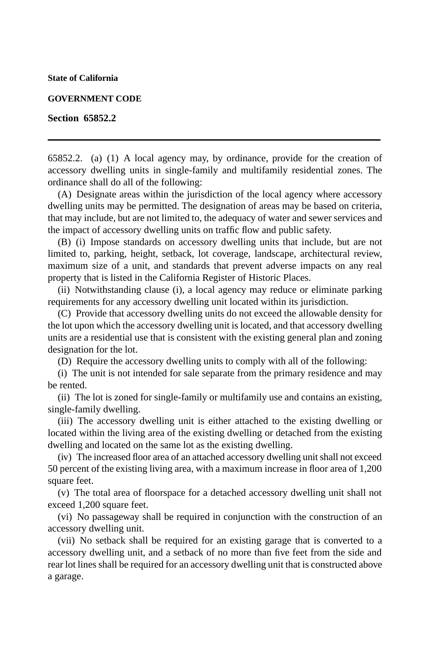**State of California**

#### **GOVERNMENT CODE**

#### **Section 65852.2**

65852.2. (a) (1) A local agency may, by ordinance, provide for the creation of accessory dwelling units in single-family and multifamily residential zones. The ordinance shall do all of the following:

(A) Designate areas within the jurisdiction of the local agency where accessory dwelling units may be permitted. The designation of areas may be based on criteria, that may include, but are not limited to, the adequacy of water and sewer services and the impact of accessory dwelling units on traffic flow and public safety.

(B) (i) Impose standards on accessory dwelling units that include, but are not limited to, parking, height, setback, lot coverage, landscape, architectural review, maximum size of a unit, and standards that prevent adverse impacts on any real property that is listed in the California Register of Historic Places.

(ii) Notwithstanding clause (i), a local agency may reduce or eliminate parking requirements for any accessory dwelling unit located within its jurisdiction.

(C) Provide that accessory dwelling units do not exceed the allowable density for the lot upon which the accessory dwelling unit is located, and that accessory dwelling units are a residential use that is consistent with the existing general plan and zoning designation for the lot.

(D) Require the accessory dwelling units to comply with all of the following:

(i) The unit is not intended for sale separate from the primary residence and may be rented.

(ii) The lot is zoned for single-family or multifamily use and contains an existing, single-family dwelling.

(iii) The accessory dwelling unit is either attached to the existing dwelling or located within the living area of the existing dwelling or detached from the existing dwelling and located on the same lot as the existing dwelling.

(iv) The increased floor area of an attached accessory dwelling unit shall not exceed 50 percent of the existing living area, with a maximum increase in floor area of 1,200 square feet.

(v) The total area of floorspace for a detached accessory dwelling unit shall not exceed 1,200 square feet.

(vi) No passageway shall be required in conjunction with the construction of an accessory dwelling unit.

(vii) No setback shall be required for an existing garage that is converted to a accessory dwelling unit, and a setback of no more than five feet from the side and rear lot lines shall be required for an accessory dwelling unit that is constructed above a garage.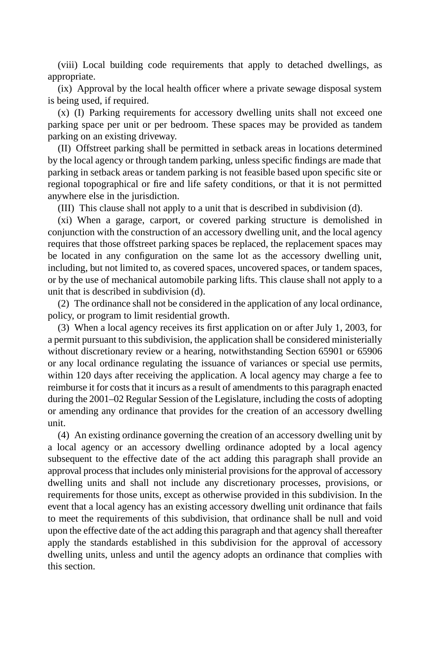(viii) Local building code requirements that apply to detached dwellings, as appropriate.

(ix) Approval by the local health officer where a private sewage disposal system is being used, if required.

(x) (I) Parking requirements for accessory dwelling units shall not exceed one parking space per unit or per bedroom. These spaces may be provided as tandem parking on an existing driveway.

(II) Offstreet parking shall be permitted in setback areas in locations determined by the local agency or through tandem parking, unless specific findings are made that parking in setback areas or tandem parking is not feasible based upon specific site or regional topographical or fire and life safety conditions, or that it is not permitted anywhere else in the jurisdiction.

(III) This clause shall not apply to a unit that is described in subdivision (d).

(xi) When a garage, carport, or covered parking structure is demolished in conjunction with the construction of an accessory dwelling unit, and the local agency requires that those offstreet parking spaces be replaced, the replacement spaces may be located in any configuration on the same lot as the accessory dwelling unit, including, but not limited to, as covered spaces, uncovered spaces, or tandem spaces, or by the use of mechanical automobile parking lifts. This clause shall not apply to a unit that is described in subdivision (d).

(2) The ordinance shall not be considered in the application of any local ordinance, policy, or program to limit residential growth.

(3) When a local agency receives its first application on or after July 1, 2003, for a permit pursuant to this subdivision, the application shall be considered ministerially without discretionary review or a hearing, notwithstanding Section 65901 or 65906 or any local ordinance regulating the issuance of variances or special use permits, within 120 days after receiving the application. A local agency may charge a fee to reimburse it for costs that it incurs as a result of amendments to this paragraph enacted during the 2001–02 Regular Session of the Legislature, including the costs of adopting or amending any ordinance that provides for the creation of an accessory dwelling unit.

(4) An existing ordinance governing the creation of an accessory dwelling unit by a local agency or an accessory dwelling ordinance adopted by a local agency subsequent to the effective date of the act adding this paragraph shall provide an approval process that includes only ministerial provisions for the approval of accessory dwelling units and shall not include any discretionary processes, provisions, or requirements for those units, except as otherwise provided in this subdivision. In the event that a local agency has an existing accessory dwelling unit ordinance that fails to meet the requirements of this subdivision, that ordinance shall be null and void upon the effective date of the act adding this paragraph and that agency shall thereafter apply the standards established in this subdivision for the approval of accessory dwelling units, unless and until the agency adopts an ordinance that complies with this section.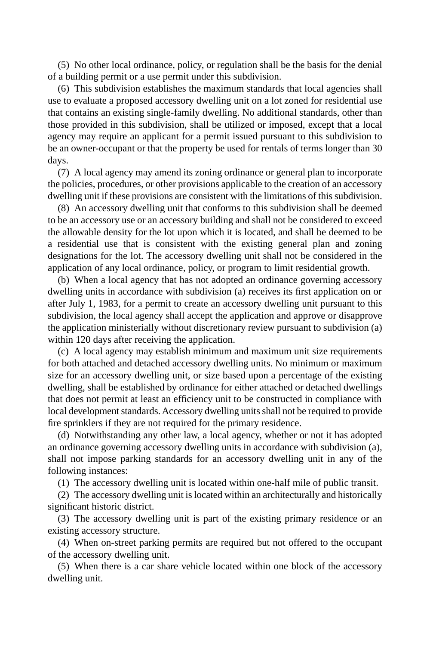(5) No other local ordinance, policy, or regulation shall be the basis for the denial of a building permit or a use permit under this subdivision.

(6) This subdivision establishes the maximum standards that local agencies shall use to evaluate a proposed accessory dwelling unit on a lot zoned for residential use that contains an existing single-family dwelling. No additional standards, other than those provided in this subdivision, shall be utilized or imposed, except that a local agency may require an applicant for a permit issued pursuant to this subdivision to be an owner-occupant or that the property be used for rentals of terms longer than 30 days.

(7) A local agency may amend its zoning ordinance or general plan to incorporate the policies, procedures, or other provisions applicable to the creation of an accessory dwelling unit if these provisions are consistent with the limitations of this subdivision.

(8) An accessory dwelling unit that conforms to this subdivision shall be deemed to be an accessory use or an accessory building and shall not be considered to exceed the allowable density for the lot upon which it is located, and shall be deemed to be a residential use that is consistent with the existing general plan and zoning designations for the lot. The accessory dwelling unit shall not be considered in the application of any local ordinance, policy, or program to limit residential growth.

(b) When a local agency that has not adopted an ordinance governing accessory dwelling units in accordance with subdivision (a) receives its first application on or after July 1, 1983, for a permit to create an accessory dwelling unit pursuant to this subdivision, the local agency shall accept the application and approve or disapprove the application ministerially without discretionary review pursuant to subdivision (a) within 120 days after receiving the application.

(c) A local agency may establish minimum and maximum unit size requirements for both attached and detached accessory dwelling units. No minimum or maximum size for an accessory dwelling unit, or size based upon a percentage of the existing dwelling, shall be established by ordinance for either attached or detached dwellings that does not permit at least an efficiency unit to be constructed in compliance with local development standards. Accessory dwelling units shall not be required to provide fire sprinklers if they are not required for the primary residence.

(d) Notwithstanding any other law, a local agency, whether or not it has adopted an ordinance governing accessory dwelling units in accordance with subdivision (a), shall not impose parking standards for an accessory dwelling unit in any of the following instances:

(1) The accessory dwelling unit is located within one-half mile of public transit.

(2) The accessory dwelling unit is located within an architecturally and historically significant historic district.

(3) The accessory dwelling unit is part of the existing primary residence or an existing accessory structure.

(4) When on-street parking permits are required but not offered to the occupant of the accessory dwelling unit.

(5) When there is a car share vehicle located within one block of the accessory dwelling unit.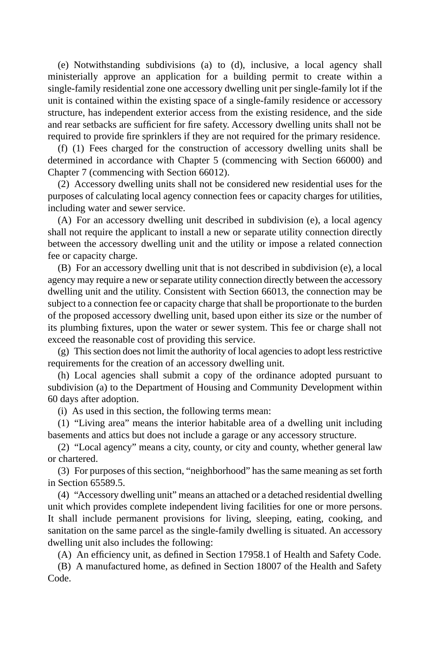(e) Notwithstanding subdivisions (a) to (d), inclusive, a local agency shall ministerially approve an application for a building permit to create within a single-family residential zone one accessory dwelling unit per single-family lot if the unit is contained within the existing space of a single-family residence or accessory structure, has independent exterior access from the existing residence, and the side and rear setbacks are sufficient for fire safety. Accessory dwelling units shall not be required to provide fire sprinklers if they are not required for the primary residence.

(f) (1) Fees charged for the construction of accessory dwelling units shall be determined in accordance with Chapter 5 (commencing with Section 66000) and Chapter 7 (commencing with Section 66012).

(2) Accessory dwelling units shall not be considered new residential uses for the purposes of calculating local agency connection fees or capacity charges for utilities, including water and sewer service.

(A) For an accessory dwelling unit described in subdivision (e), a local agency shall not require the applicant to install a new or separate utility connection directly between the accessory dwelling unit and the utility or impose a related connection fee or capacity charge.

(B) For an accessory dwelling unit that is not described in subdivision (e), a local agency may require a new or separate utility connection directly between the accessory dwelling unit and the utility. Consistent with Section 66013, the connection may be subject to a connection fee or capacity charge that shall be proportionate to the burden of the proposed accessory dwelling unit, based upon either its size or the number of its plumbing fixtures, upon the water or sewer system. This fee or charge shall not exceed the reasonable cost of providing this service.

(g) This section does not limit the authority of local agencies to adopt less restrictive requirements for the creation of an accessory dwelling unit.

(h) Local agencies shall submit a copy of the ordinance adopted pursuant to subdivision (a) to the Department of Housing and Community Development within 60 days after adoption.

(i) As used in this section, the following terms mean:

(1) "Living area" means the interior habitable area of a dwelling unit including basements and attics but does not include a garage or any accessory structure.

(2) "Local agency" means a city, county, or city and county, whether general law or chartered.

(3) For purposes of this section, "neighborhood" has the same meaning as set forth in Section 65589.5.

(4) "Accessory dwelling unit" means an attached or a detached residential dwelling unit which provides complete independent living facilities for one or more persons. It shall include permanent provisions for living, sleeping, eating, cooking, and sanitation on the same parcel as the single-family dwelling is situated. An accessory dwelling unit also includes the following:

(A) An efficiency unit, as defined in Section 17958.1 of Health and Safety Code.

(B) A manufactured home, as defined in Section 18007 of the Health and Safety Code.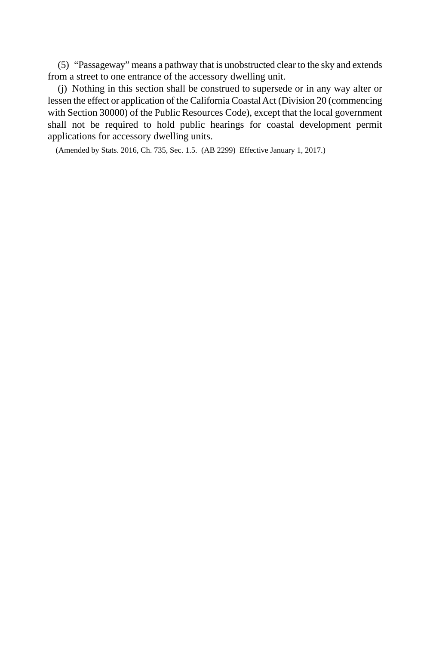(5) "Passageway" means a pathway that is unobstructed clear to the sky and extends from a street to one entrance of the accessory dwelling unit.

(j) Nothing in this section shall be construed to supersede or in any way alter or lessen the effect or application of the California Coastal Act (Division 20 (commencing with Section 30000) of the Public Resources Code), except that the local government shall not be required to hold public hearings for coastal development permit applications for accessory dwelling units.

(Amended by Stats. 2016, Ch. 735, Sec. 1.5. (AB 2299) Effective January 1, 2017.)